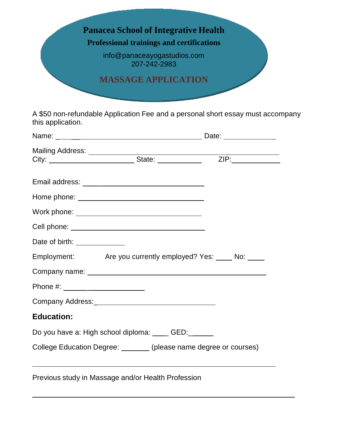

A \$50 non-refundable Application Fee and a personal short essay must accompany this application.

| Mailing Address: _____________________State: _____________________ZIP:___________ |  |
|-----------------------------------------------------------------------------------|--|
|                                                                                   |  |
|                                                                                   |  |
|                                                                                   |  |
|                                                                                   |  |
| Date of birth: ______________                                                     |  |
| Employment: Are you currently employed? Yes: No: No:                              |  |
|                                                                                   |  |
| Phone #: _______________________                                                  |  |
|                                                                                   |  |
| <b>Education:</b>                                                                 |  |
| Do you have a: High school diploma: ____ GED:_____                                |  |
| College Education Degree: _______ (please name degree or courses)                 |  |
| Previous study in Massage and/or Health Profession                                |  |